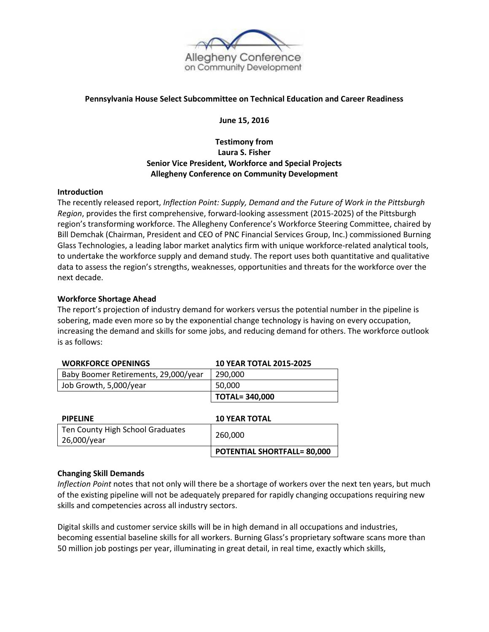

### **Pennsylvania House Select Subcommittee on Technical Education and Career Readiness**

**June 15, 2016**

# **Testimony from Laura S. Fisher Senior Vice President, Workforce and Special Projects Allegheny Conference on Community Development**

#### **Introduction**

The recently released report, *Inflection Point: Supply, Demand and the Future of Work in the Pittsburgh Region*, provides the first comprehensive, forward-looking assessment (2015-2025) of the Pittsburgh region's transforming workforce. The Allegheny Conference's Workforce Steering Committee, chaired by Bill Demchak (Chairman, President and CEO of PNC Financial Services Group, Inc.) commissioned Burning Glass Technologies, a leading labor market analytics firm with unique workforce-related analytical tools, to undertake the workforce supply and demand study. The report uses both quantitative and qualitative data to assess the region's strengths, weaknesses, opportunities and threats for the workforce over the next decade.

#### **Workforce Shortage Ahead**

The report's projection of industry demand for workers versus the potential number in the pipeline is sobering, made even more so by the exponential change technology is having on every occupation, increasing the demand and skills for some jobs, and reducing demand for others. The workforce outlook is as follows:

| <b>WORKFORCE OPENINGS</b>            | <b>10 YEAR TOTAL 2015-2025</b>     |  |
|--------------------------------------|------------------------------------|--|
| Baby Boomer Retirements, 29,000/year | 290,000                            |  |
| Job Growth, 5,000/year               | 50,000                             |  |
|                                      | <b>TOTAL=340,000</b>               |  |
|                                      |                                    |  |
| <b>PIPELINE</b>                      | <b>10 YEAR TOTAL</b>               |  |
| Ten County High School Graduates     |                                    |  |
| 26,000/year                          | 260,000                            |  |
|                                      | <b>POTENTIAL SHORTFALL= 80,000</b> |  |

### **Changing Skill Demands**

*Inflection Point* notes that not only will there be a shortage of workers over the next ten years, but much of the existing pipeline will not be adequately prepared for rapidly changing occupations requiring new skills and competencies across all industry sectors.

Digital skills and customer service skills will be in high demand in all occupations and industries, becoming essential baseline skills for all workers. Burning Glass's proprietary software scans more than 50 million job postings per year, illuminating in great detail, in real time, exactly which skills,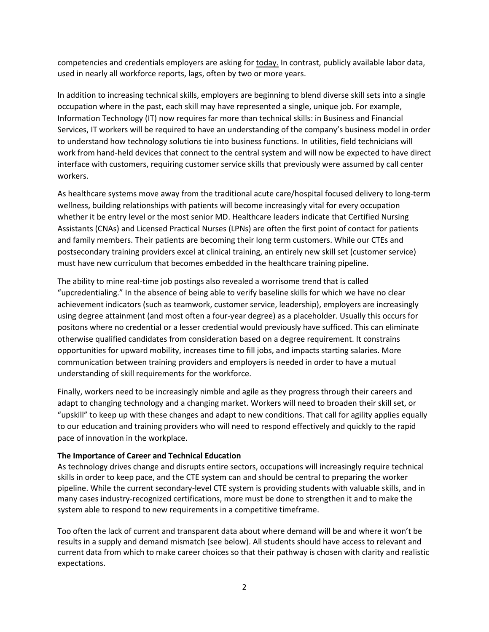competencies and credentials employers are asking for today. In contrast, publicly available labor data, used in nearly all workforce reports, lags, often by two or more years.

In addition to increasing technical skills, employers are beginning to blend diverse skill sets into a single occupation where in the past, each skill may have represented a single, unique job. For example, Information Technology (IT) now requires far more than technical skills: in Business and Financial Services, IT workers will be required to have an understanding of the company's business model in order to understand how technology solutions tie into business functions. In utilities, field technicians will work from hand-held devices that connect to the central system and will now be expected to have direct interface with customers, requiring customer service skills that previously were assumed by call center workers.

As healthcare systems move away from the traditional acute care/hospital focused delivery to long-term wellness, building relationships with patients will become increasingly vital for every occupation whether it be entry level or the most senior MD. Healthcare leaders indicate that Certified Nursing Assistants (CNAs) and Licensed Practical Nurses (LPNs) are often the first point of contact for patients and family members. Their patients are becoming their long term customers. While our CTEs and postsecondary training providers excel at clinical training, an entirely new skill set (customer service) must have new curriculum that becomes embedded in the healthcare training pipeline.

The ability to mine real-time job postings also revealed a worrisome trend that is called "upcredentialing." In the absence of being able to verify baseline skills for which we have no clear achievement indicators (such as teamwork, customer service, leadership), employers are increasingly using degree attainment (and most often a four-year degree) as a placeholder. Usually this occurs for positons where no credential or a lesser credential would previously have sufficed. This can eliminate otherwise qualified candidates from consideration based on a degree requirement. It constrains opportunities for upward mobility, increases time to fill jobs, and impacts starting salaries. More communication between training providers and employers is needed in order to have a mutual understanding of skill requirements for the workforce.

Finally, workers need to be increasingly nimble and agile as they progress through their careers and adapt to changing technology and a changing market. Workers will need to broaden their skill set, or "upskill" to keep up with these changes and adapt to new conditions. That call for agility applies equally to our education and training providers who will need to respond effectively and quickly to the rapid pace of innovation in the workplace.

### **The Importance of Career and Technical Education**

As technology drives change and disrupts entire sectors, occupations will increasingly require technical skills in order to keep pace, and the CTE system can and should be central to preparing the worker pipeline. While the current secondary-level CTE system is providing students with valuable skills, and in many cases industry-recognized certifications, more must be done to strengthen it and to make the system able to respond to new requirements in a competitive timeframe.

Too often the lack of current and transparent data about where demand will be and where it won't be results in a supply and demand mismatch (see below). All students should have access to relevant and current data from which to make career choices so that their pathway is chosen with clarity and realistic expectations.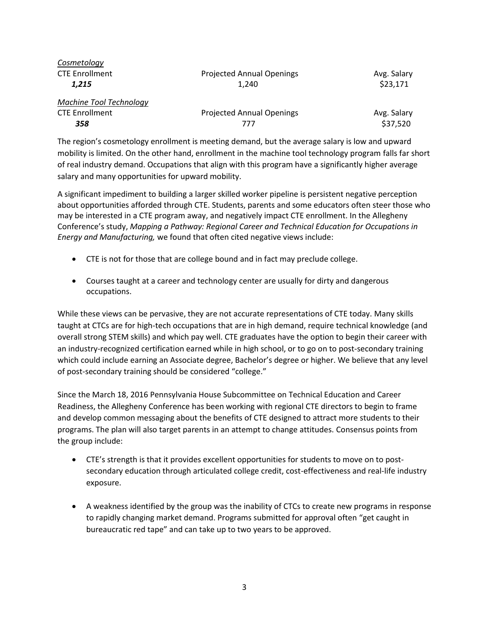| Cosmetology             |                                  |             |
|-------------------------|----------------------------------|-------------|
| <b>CTE Enrollment</b>   | <b>Projected Annual Openings</b> | Avg. Salary |
| 1.215                   | 1.240                            | \$23,171    |
| Machine Tool Technology |                                  |             |
| <b>CTE Enrollment</b>   | <b>Projected Annual Openings</b> | Avg. Salary |
| 358                     | 777                              | \$37,520    |

The region's cosmetology enrollment is meeting demand, but the average salary is low and upward mobility is limited. On the other hand, enrollment in the machine tool technology program falls far short of real industry demand. Occupations that align with this program have a significantly higher average salary and many opportunities for upward mobility.

A significant impediment to building a larger skilled worker pipeline is persistent negative perception about opportunities afforded through CTE. Students, parents and some educators often steer those who may be interested in a CTE program away, and negatively impact CTE enrollment. In the Allegheny Conference's study, *Mapping a Pathway: Regional Career and Technical Education for Occupations in Energy and Manufacturing,* we found that often cited negative views include:

- CTE is not for those that are college bound and in fact may preclude college.
- Courses taught at a career and technology center are usually for dirty and dangerous occupations.

While these views can be pervasive, they are not accurate representations of CTE today. Many skills taught at CTCs are for high-tech occupations that are in high demand, require technical knowledge (and overall strong STEM skills) and which pay well. CTE graduates have the option to begin their career with an industry-recognized certification earned while in high school, or to go on to post-secondary training which could include earning an Associate degree, Bachelor's degree or higher. We believe that any level of post-secondary training should be considered "college."

Since the March 18, 2016 Pennsylvania House Subcommittee on Technical Education and Career Readiness, the Allegheny Conference has been working with regional CTE directors to begin to frame and develop common messaging about the benefits of CTE designed to attract more students to their programs. The plan will also target parents in an attempt to change attitudes. Consensus points from the group include:

- CTE's strength is that it provides excellent opportunities for students to move on to postsecondary education through articulated college credit, cost-effectiveness and real-life industry exposure.
- A weakness identified by the group was the inability of CTCs to create new programs in response to rapidly changing market demand. Programs submitted for approval often "get caught in bureaucratic red tape" and can take up to two years to be approved.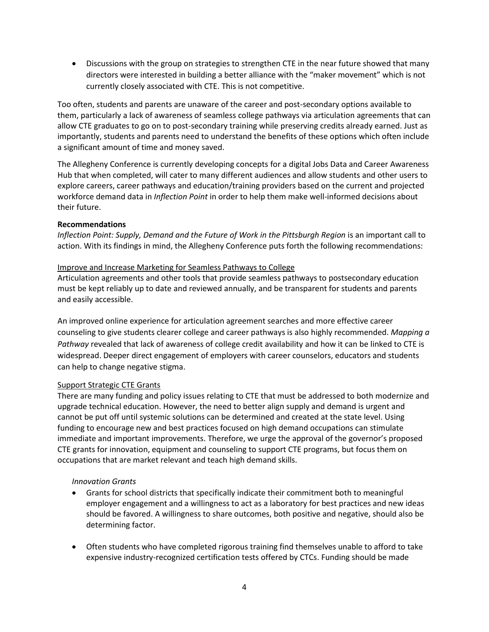• Discussions with the group on strategies to strengthen CTE in the near future showed that many directors were interested in building a better alliance with the "maker movement" which is not currently closely associated with CTE. This is not competitive.

Too often, students and parents are unaware of the career and post-secondary options available to them, particularly a lack of awareness of seamless college pathways via articulation agreements that can allow CTE graduates to go on to post-secondary training while preserving credits already earned. Just as importantly, students and parents need to understand the benefits of these options which often include a significant amount of time and money saved.

The Allegheny Conference is currently developing concepts for a digital Jobs Data and Career Awareness Hub that when completed, will cater to many different audiences and allow students and other users to explore careers, career pathways and education/training providers based on the current and projected workforce demand data in *Inflection Point* in order to help them make well-informed decisions about their future.

### **Recommendations**

*Inflection Point: Supply, Demand and the Future of Work in the Pittsburgh Region* is an important call to action. With its findings in mind, the Allegheny Conference puts forth the following recommendations:

#### Improve and Increase Marketing for Seamless Pathways to College

Articulation agreements and other tools that provide seamless pathways to postsecondary education must be kept reliably up to date and reviewed annually, and be transparent for students and parents and easily accessible.

An improved online experience for articulation agreement searches and more effective career counseling to give students clearer college and career pathways is also highly recommended. *Mapping a Pathway* revealed that lack of awareness of college credit availability and how it can be linked to CTE is widespread. Deeper direct engagement of employers with career counselors, educators and students can help to change negative stigma.

### Support Strategic CTE Grants

There are many funding and policy issues relating to CTE that must be addressed to both modernize and upgrade technical education. However, the need to better align supply and demand is urgent and cannot be put off until systemic solutions can be determined and created at the state level. Using funding to encourage new and best practices focused on high demand occupations can stimulate immediate and important improvements. Therefore, we urge the approval of the governor's proposed CTE grants for innovation, equipment and counseling to support CTE programs, but focus them on occupations that are market relevant and teach high demand skills.

### *Innovation Grants*

- Grants for school districts that specifically indicate their commitment both to meaningful employer engagement and a willingness to act as a laboratory for best practices and new ideas should be favored. A willingness to share outcomes, both positive and negative, should also be determining factor.
- Often students who have completed rigorous training find themselves unable to afford to take expensive industry-recognized certification tests offered by CTCs. Funding should be made